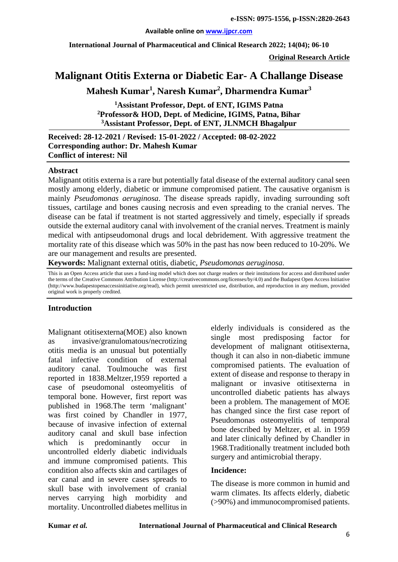#### **Available online on [www.ijpcr.com](http://www.ijpcr.com/)**

**International Journal of Pharmaceutical and Clinical Research 2022; 14(04); 06-10**

**Original Research Article**

# **Malignant Otitis Externa or Diabetic Ear- A Challange Disease**

**Mahesh Kumar1 , Naresh Kumar2 , Dharmendra Kumar3**

**1 Assistant Professor, Dept. of ENT, IGIMS Patna 2 Professor& HOD, Dept. of Medicine, IGIMS, Patna, Bihar 3 Assistant Professor, Dept. of ENT, JLNMCH Bhagalpur**

**Received: 28-12-2021 / Revised: 15-01-2022 / Accepted: 08-02-2022 Corresponding author: Dr. Mahesh Kumar Conflict of interest: Nil**

#### **Abstract**

Malignant otitis externa is a rare but potentially fatal disease of the external auditory canal seen mostly among elderly, diabetic or immune compromised patient. The causative organism is mainly *Pseudomonas aeruginosa*. The disease spreads rapidly, invading surrounding soft tissues, cartilage and bones causing necrosis and even spreading to the cranial nerves. The disease can be fatal if treatment is not started aggressively and timely, especially if spreads outside the external auditory canal with involvement of the cranial nerves. Treatment is mainly medical with antipseudomonal drugs and local debridement. With aggressive treatment the mortality rate of this disease which was 50% in the past has now been reduced to 10-20%. We are our management and results are presented.

**Keywords:** Malignant external otitis, diabetic, *Pseudomonas aeruginosa*.

This is an Open Access article that uses a fund-ing model which does not charge readers or their institutions for access and distributed under the terms of the Creative Commons Attribution License (http://creativecommons.org/licenses/by/4.0) and the Budapest Open Access Initiative (http://www.budapestopenaccessinitiative.org/read), which permit unrestricted use, distribution, and reproduction in any medium, provided original work is properly credited.

#### **Introduction**

Malignant otitisexterna(MOE) also known as invasive/granulomatous/necrotizing otitis media is an unusual but potentially fatal infective condition of external auditory canal. Toulmouche was first reported in 1838.Meltzer,1959 reported a case of pseudomonal osteomyelitis of temporal bone. However, first report was published in 1968.The term 'malignant' was first coined by Chandler in 1977, because of invasive infection of external auditory canal and skull base infection which is predominantly occur in uncontrolled elderly diabetic individuals and immune compromised patients. This condition also affects skin and cartilages of ear canal and in severe cases spreads to skull base with involvement of cranial nerves carrying high morbidity and mortality. Uncontrolled diabetes mellitus in elderly individuals is considered as the single most predisposing factor for development of malignant otitisexterna, though it can also in non-diabetic immune compromised patients. The evaluation of extent of disease and response to therapy in malignant or invasive otitisexterna in uncontrolled diabetic patients has always been a problem. The management of MOE has changed since the first case report of Pseudomonas osteomyelitis of temporal bone described by Meltzer, et al. in 1959 and later clinically defined by Chandler in 1968.Traditionally treatment included both surgery and antimicrobial therapy.

#### **Incidence:**

The disease is more common in humid and warm climates. Its affects elderly, diabetic (>90%) and immunocompromised patients.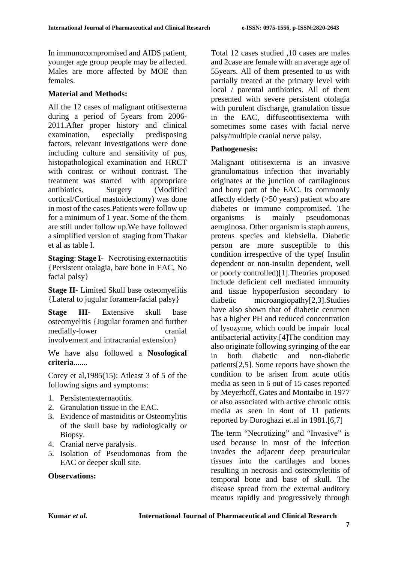In immunocompromised and AIDS patient, younger age group people may be affected. Males are more affected by MOE than females.

# **Material and Methods:**

All the 12 cases of malignant otitisexterna during a period of 5years from 2006- 2011.After proper history and clinical examination, especially predisposing factors, relevant investigations were done including culture and sensitivity of pus, histopathological examination and HRCT with contrast or without contrast. The treatment was started with appropriate antibiotics. Surgery (Modified cortical/Cortical mastoidectomy) was done in most of the cases.Patients were follow up for a minimum of 1 year. Some of the them are still under follow up.We have followed a simplified version of staging from Thakar et al as table I.

**Staging**: **Stage I**- Necrotising externaotitis {Persistent otalagia, bare bone in EAC, No facial palsy}

**Stage II**- Limited Skull base osteomyelitis {Lateral to jugular foramen-facial palsy}

**Stage III**- Extensive skull base osteomyelitis {Jugular foramen and further medially-lower cranial involvement and intracranial extension}

We have also followed a **Nosological criteria**.......

Corey et al,1985(15): Atleast 3 of 5 of the following signs and symptoms:

- 1. Persistentexternaotitis.
- 2. Granulation tissue in the EAC.
- 3. Evidence of mastoiditis or Osteomylitis of the skull base by radiologically or Biopsy.
- 4. Cranial nerve paralysis.
- 5. Isolation of Pseudomonas from the EAC or deeper skull site.

# **Observations:**

Total 12 cases studied ,10 cases are males and 2case are female with an average age of 55years. All of them presented to us with partially treated at the primary level with local / parental antibiotics. All of them presented with severe persistent otolagia with purulent discharge, granulation tissue in the EAC, diffuseotitisexterna with sometimes some cases with facial nerve palsy/multiple cranial nerve palsy.

## **Pathogenesis:**

Malignant otitisexterna is an invasive granulomatous infection that invariably originates at the junction of cartilaginous and bony part of the EAC. Its commonly affectly elderly (>50 years) patient who are diabetes or immune compromised. The organisms is mainly pseudomonas aeruginosa. Other organism is staph aureus, proteus species and klebsiella. Diabetic person are more susceptible to this condition irrespective of the type( Insulin dependent or non-insulin dependent, well or poorly controlled)[1].Theories proposed include deficient cell mediated immunity and tissue hypoperfusion secondary to diabetic microangiopathy[2,3].Studies have also shown that of diabetic cerumen has a higher PH and reduced concentration of lysozyme, which could be impair local antibacterial activity.[4]The condition may also originate following syringing of the ear in both diabetic and non-diabetic patients[2,5]. Some reports have shown the condition to be arisen from acute otitis media as seen in 6 out of 15 cases reported by Meyerhoff, Gates and Montaibo in 1977 or also associated with active chronic otitis media as seen in 4out of 11 patients reported by Doroghazi et.al in 1981.[6,7]

The term "Necrotizing" and "Invasive" is used because in most of the infection invades the adjacent deep preauricular tissues into the cartilages and bones resulting in necrosis and osteomyletitis of temporal bone and base of skull. The disease spread from the external auditory meatus rapidly and progressively through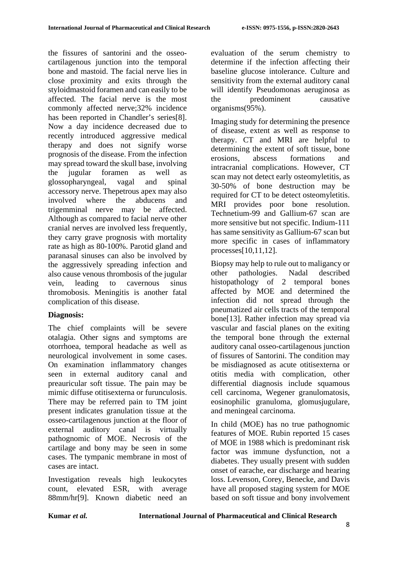the fissures of santorini and the osseocartilagenous junction into the temporal bone and mastoid. The facial nerve lies in close proximity and exits through the styloidmastoid foramen and can easily to be affected. The facial nerve is the most commonly affected nerve;32% incidence has been reported in Chandler's series[8]. Now a day incidence decreased due to recently introduced aggressive medical therapy and does not signify worse prognosis of the disease. From the infection may spread toward the skull base, involving the jugular foramen as well as glossopharyngeal, vagal and spinal accessory nerve. Thepetrous apex may also involved where the abducens and trigemminal nerve may be affected. Although as compared to facial nerve other cranial nerves are involved less frequently, they carry grave prognosis with mortality rate as high as 80-100%. Parotid gland and paranasal sinuses can also be involved by the aggressively spreading infection and also cause venous thrombosis of the jugular vein, leading to cavernous sinus thromobosis. Meningitis is another fatal complication of this disease.

# **Diagnosis:**

The chief complaints will be severe otalagia. Other signs and symptoms are otorrhoea, temporal headache as well as neurological involvement in some cases. On examination inflammatory changes seen in external auditory canal and preauricular soft tissue. The pain may be mimic diffuse otitisexterna or furunculosis. There may be referred pain to TM joint present indicates granulation tissue at the osseo-cartilagenous junction at the floor of external auditory canal is virtually pathognomic of MOE. Necrosis of the cartilage and bony may be seen in some cases. The tympanic membrane in most of cases are intact.

Investigation reveals high leukocytes count, elevated ESR, with average 88mm/hr[9]. Known diabetic need an evaluation of the serum chemistry to determine if the infection affecting their baseline glucose intolerance. Culture and sensitivity from the external auditory canal will identify Pseudomonas aeruginosa as the predominent causative organisms(95%).

Imaging study for determining the presence of disease, extent as well as response to therapy. CT and MRI are helpful to determining the extent of soft tissue, bone erosions, abscess formations and intracranial complications. However, CT scan may not detect early osteomyletitis, as 30-50% of bone destruction may be required for CT to be detect osteomyletitis. MRI provides poor bone resolution. Technetium-99 and Gallium-67 scan are more sensitive but not specific. Indium-111 has same sensitivity as Gallium-67 scan but more specific in cases of inflammatory processes[10,11,12].

Biopsy may help to rule out to maligancy or other pathologies. Nadal described histopathology of 2 temporal bones affected by MOE and determined the infection did not spread through the pneumatized air cells tracts of the temporal bone[13]. Rather infection may spread via vascular and fascial planes on the exiting the temporal bone through the external auditory canal osseo-cartilagenous junction of fissures of Santorini. The condition may be misdiagnosed as acute otitisexterna or otitis media with complication, other differential diagnosis include squamous cell carcinoma, Wegener granulomatosis, eosinophilic granuloma, glomusjugulare, and meningeal carcinoma.

In child (MOE) has no true pathognomic features of MOE. Rubin reported 15 cases of MOE in 1988 which is predominant risk factor was immune dysfunction, not a diabetes. They usually present with sudden onset of earache, ear discharge and hearing loss. Levenson, Corey, Benecke, and Davis have all proposed staging system for MOE based on soft tissue and bony involvement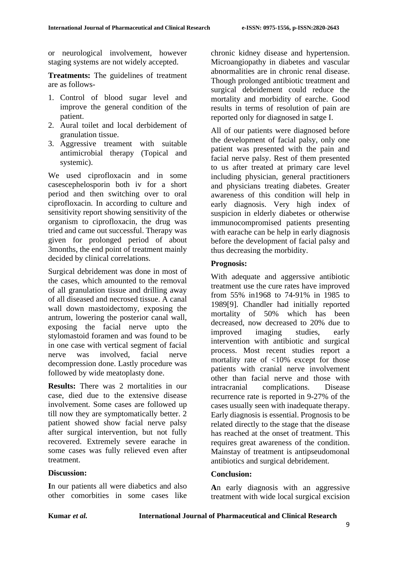or neurological involvement, however staging systems are not widely accepted.

**Treatments:** The guidelines of treatment are as follows-

- 1. Control of blood sugar level and improve the general condition of the patient.
- 2. Aural toilet and local derbidement of granulation tissue.
- 3. Aggressive treament with suitable antimicrobial therapy (Topical and systemic).

We used ciprofloxacin and in some casescephelosporin both iv for a short period and then switching over to oral ciprofloxacin. In according to culture and sensitivity report showing sensitivity of the organism to ciprofloxacin, the drug was tried and came out successful. Therapy was given for prolonged period of about 3months, the end point of treatment mainly decided by clinical correlations.

Surgical debridement was done in most of the cases, which amounted to the removal of all granulation tissue and drilling away of all diseased and necrosed tissue. A canal wall down mastoidectomy, exposing the antrum, lowering the posterior canal wall, exposing the facial nerve upto the stylomastoid foramen and was found to be in one case with vertical segment of facial nerve was involved, facial nerve decompression done. Lastly procedure was followed by wide meatoplasty done.

**Results:** There was 2 mortalities in our case, died due to the extensive disease involvement. Some cases are followed up till now they are symptomatically better. 2 patient showed show facial nerve palsy after surgical intervention, but not fully recovered. Extremely severe earache in some cases was fully relieved even after treatment.

# **Discussion:**

**I**n our patients all were diabetics and also other comorbities in some cases like chronic kidney disease and hypertension. Microangiopathy in diabetes and vascular abnormalities are in chronic renal disease. Though prolonged antibiotic treatment and surgical debridement could reduce the mortality and morbidity of earche. Good results in terms of resolution of pain are reported only for diagnosed in satge I.

All of our patients were diagnosed before the development of facial palsy, only one patient was presented with the pain and facial nerve palsy. Rest of them presented to us after treated at primary care level including physician, general practitioners and physicians treating diabetes. Greater awareness of this condition will help in early diagnosis. Very high index of suspicion in elderly diabetes or otherwise immunocompromised patients presenting with earache can be help in early diagnosis before the development of facial palsy and thus decreasing the morbidity.

## **Prognosis:**

With adequate and aggerssive antibiotic treatment use the cure rates have improved from 55% in1968 to 74-91% in 1985 to 1989[9]. Chandler had initially reported mortality of 50% which has been decreased, now decreased to 20% due to improved imaging studies, early intervention with antibiotic and surgical process. Most recent studies report a mortality rate of <10% except for those patients with cranial nerve involvement other than facial nerve and those with intracranial complications. Disease recurrence rate is reported in 9-27% of the cases usually seen with inadequate therapy. Early diagnosis is essential. Prognosis to be related directly to the stage that the disease has reached at the onset of treatment. This requires great awareness of the condition. Mainstay of treatment is antipseudomonal antibiotics and surgical debridement.

# **Conclusion:**

**A**n early diagnosis with an aggressive treatment with wide local surgical excision